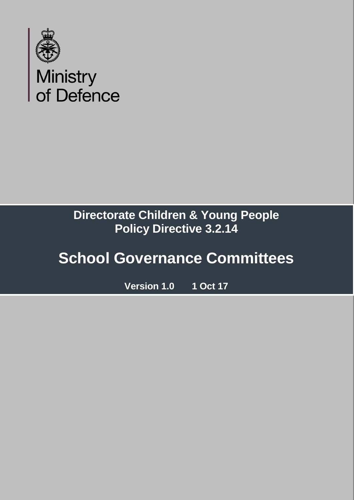

### **Directorate Children & Young People Policy Directive 3.2.14**

## **School Governance Committees**

**Version 1.0 1 Oct 17**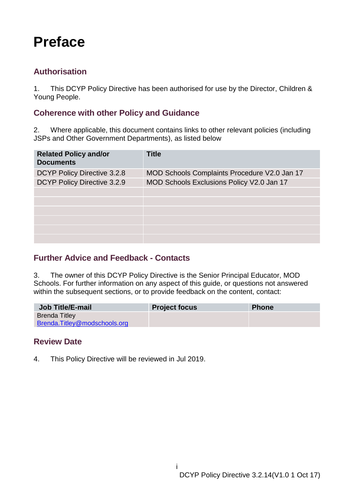### <span id="page-1-0"></span>**Preface**

#### <span id="page-1-1"></span>**Authorisation**

1. This DCYP Policy Directive has been authorised for use by the Director, Children & Young People.

#### <span id="page-1-2"></span>**Coherence with other Policy and Guidance**

2. Where applicable, this document contains links to other relevant policies (including JSPs and Other Government Departments), as listed below

| <b>Related Policy and/or</b><br><b>Documents</b> | <b>Title</b>                                 |
|--------------------------------------------------|----------------------------------------------|
| DCYP Policy Directive 3.2.8                      | MOD Schools Complaints Procedure V2.0 Jan 17 |
| DCYP Policy Directive 3.2.9                      | MOD Schools Exclusions Policy V2.0 Jan 17    |
|                                                  |                                              |
|                                                  |                                              |
|                                                  |                                              |
|                                                  |                                              |
|                                                  |                                              |
|                                                  |                                              |

#### <span id="page-1-3"></span>**Further Advice and Feedback - Contacts**

3. The owner of this DCYP Policy Directive is the Senior Principal Educator, MOD Schools. For further information on any aspect of this guide, or questions not answered within the subsequent sections, or to provide feedback on the content, contact:

| <b>Job Title/E-mail</b>       | <b>Project focus</b> | <b>Phone</b> |
|-------------------------------|----------------------|--------------|
| <b>Brenda Titley</b>          |                      |              |
| Brenda. Titley@modschools.org |                      |              |

i

#### <span id="page-1-4"></span>**Review Date**

4. This Policy Directive will be reviewed in Jul 2019.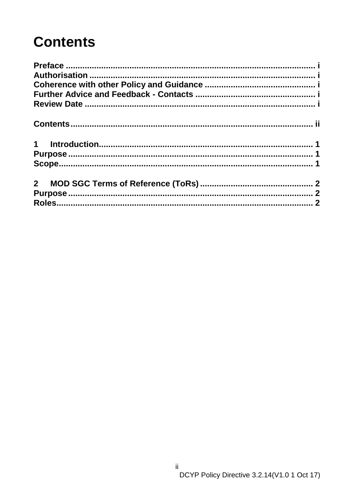## <span id="page-2-0"></span>**Contents**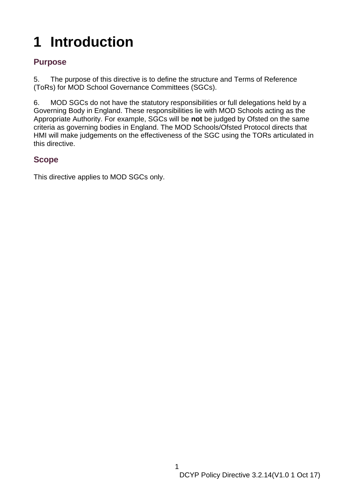# <span id="page-3-0"></span>**1 Introduction**

#### <span id="page-3-1"></span>**Purpose**

5. The purpose of this directive is to define the structure and Terms of Reference (ToRs) for MOD School Governance Committees (SGCs).

6. MOD SGCs do not have the statutory responsibilities or full delegations held by a Governing Body in England. These responsibilities lie with MOD Schools acting as the Appropriate Authority. For example, SGCs will be **not** be judged by Ofsted on the same criteria as governing bodies in England. The MOD Schools/Ofsted Protocol directs that HMI will make judgements on the effectiveness of the SGC using the TORs articulated in this directive.

#### <span id="page-3-2"></span>**Scope**

This directive applies to MOD SGCs only.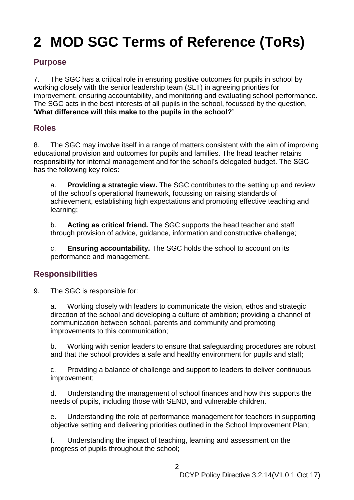## <span id="page-4-0"></span>**2 MOD SGC Terms of Reference (ToRs)**

#### <span id="page-4-1"></span>**Purpose**

7. The SGC has a critical role in ensuring positive outcomes for pupils in school by working closely with the senior leadership team (SLT) in agreeing priorities for improvement, ensuring accountability, and monitoring and evaluating school performance. The SGC acts in the best interests of all pupils in the school, focussed by the question, '**What difference will this make to the pupils in the school?'**

#### <span id="page-4-2"></span>**Roles**

8. The SGC may involve itself in a range of matters consistent with the aim of improving educational provision and outcomes for pupils and families. The head teacher retains responsibility for internal management and for the school's delegated budget. The SGC has the following key roles:

a. **Providing a strategic view.** The SGC contributes to the setting up and review of the school's operational framework, focussing on raising standards of achievement, establishing high expectations and promoting effective teaching and learning;

b. **Acting as critical friend.** The SGC supports the head teacher and staff through provision of advice, guidance, information and constructive challenge;

c. **Ensuring accountability.** The SGC holds the school to account on its performance and management.

#### **Responsibilities**

9. The SGC is responsible for:

a. Working closely with leaders to communicate the vision, ethos and strategic direction of the school and developing a culture of ambition; providing a channel of communication between school, parents and community and promoting improvements to this communication;

b. Working with senior leaders to ensure that safeguarding procedures are robust and that the school provides a safe and healthy environment for pupils and staff;

c. Providing a balance of challenge and support to leaders to deliver continuous improvement;

d. Understanding the management of school finances and how this supports the needs of pupils, including those with SEND, and vulnerable children.

e. Understanding the role of performance management for teachers in supporting objective setting and delivering priorities outlined in the School Improvement Plan;

f. Understanding the impact of teaching, learning and assessment on the progress of pupils throughout the school;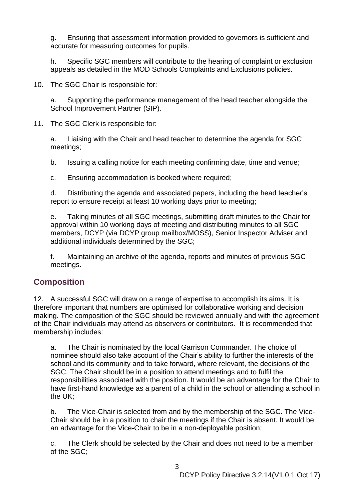g. Ensuring that assessment information provided to governors is sufficient and accurate for measuring outcomes for pupils.

h. Specific SGC members will contribute to the hearing of complaint or exclusion appeals as detailed in the MOD Schools Complaints and Exclusions policies.

10. The SGC Chair is responsible for:

a. Supporting the performance management of the head teacher alongside the School Improvement Partner (SIP).

11. The SGC Clerk is responsible for:

a. Liaising with the Chair and head teacher to determine the agenda for SGC meetings;

b. Issuing a calling notice for each meeting confirming date, time and venue;

c. Ensuring accommodation is booked where required;

d. Distributing the agenda and associated papers, including the head teacher's report to ensure receipt at least 10 working days prior to meeting;

e. Taking minutes of all SGC meetings, submitting draft minutes to the Chair for approval within 10 working days of meeting and distributing minutes to all SGC members, DCYP (via DCYP group mailbox/MOSS), Senior Inspector Adviser and additional individuals determined by the SGC;

f. Maintaining an archive of the agenda, reports and minutes of previous SGC meetings.

#### **Composition**

12. A successful SGC will draw on a range of expertise to accomplish its aims. It is therefore important that numbers are optimised for collaborative working and decision making. The composition of the SGC should be reviewed annually and with the agreement of the Chair individuals may attend as observers or contributors. It is recommended that membership includes:

a. The Chair is nominated by the local Garrison Commander. The choice of nominee should also take account of the Chair's ability to further the interests of the school and its community and to take forward, where relevant, the decisions of the SGC. The Chair should be in a position to attend meetings and to fulfil the responsibilities associated with the position. It would be an advantage for the Chair to have first-hand knowledge as a parent of a child in the school or attending a school in the UK;

b. The Vice-Chair is selected from and by the membership of the SGC. The Vice-Chair should be in a position to chair the meetings if the Chair is absent. It would be an advantage for the Vice-Chair to be in a non-deployable position;

c. The Clerk should be selected by the Chair and does not need to be a member of the SGC;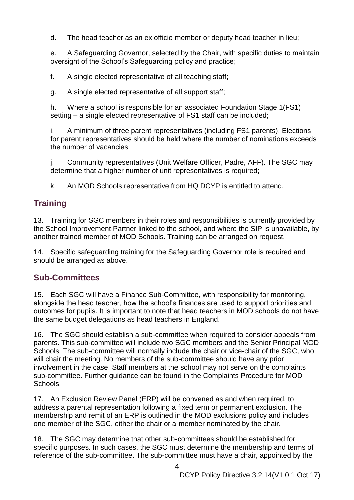d. The head teacher as an ex officio member or deputy head teacher in lieu;

e. A Safeguarding Governor, selected by the Chair, with specific duties to maintain oversight of the School's Safeguarding policy and practice;

f. A single elected representative of all teaching staff;

g. A single elected representative of all support staff;

h. Where a school is responsible for an associated Foundation Stage 1(FS1) setting – a single elected representative of FS1 staff can be included;

i. A minimum of three parent representatives (including FS1 parents). Elections for parent representatives should be held where the number of nominations exceeds the number of vacancies;

j. Community representatives (Unit Welfare Officer, Padre, AFF). The SGC may determine that a higher number of unit representatives is required;

k. An MOD Schools representative from HQ DCYP is entitled to attend.

#### **Training**

13. Training for SGC members in their roles and responsibilities is currently provided by the School Improvement Partner linked to the school, and where the SIP is unavailable, by another trained member of MOD Schools. Training can be arranged on request.

14. Specific safeguarding training for the Safeguarding Governor role is required and should be arranged as above.

#### **Sub-Committees**

15. Each SGC will have a Finance Sub-Committee, with responsibility for monitoring, alongside the head teacher, how the school's finances are used to support priorities and outcomes for pupils. It is important to note that head teachers in MOD schools do not have the same budget delegations as head teachers in England.

16. The SGC should establish a sub-committee when required to consider appeals from parents. This sub-committee will include two SGC members and the Senior Principal MOD Schools. The sub-committee will normally include the chair or vice-chair of the SGC, who will chair the meeting. No members of the sub-committee should have any prior involvement in the case. Staff members at the school may not serve on the complaints sub-committee. Further guidance can be found in the Complaints Procedure for MOD Schools.

17. An Exclusion Review Panel (ERP) will be convened as and when required, to address a parental representation following a fixed term or permanent exclusion. The membership and remit of an ERP is outlined in the MOD exclusions policy and includes one member of the SGC, either the chair or a member nominated by the chair.

18. The SGC may determine that other sub-committees should be established for specific purposes. In such cases, the SGC must determine the membership and terms of reference of the sub-committee. The sub-committee must have a chair, appointed by the